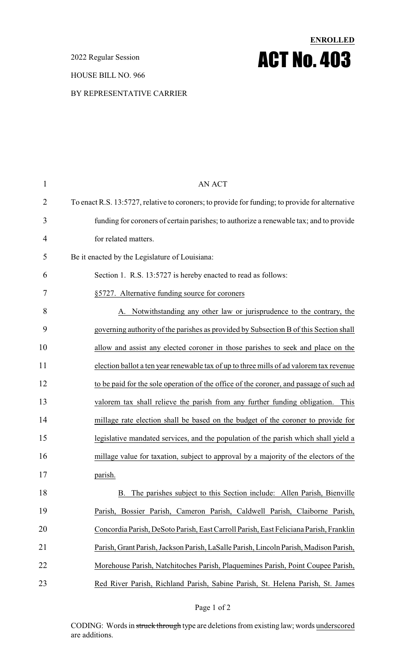2022 Regular Session

#### HOUSE BILL NO. 966

#### BY REPRESENTATIVE CARRIER

| 1  | <b>AN ACT</b>                                                                                   |
|----|-------------------------------------------------------------------------------------------------|
| 2  | To enact R.S. 13:5727, relative to coroners; to provide for funding; to provide for alternative |
| 3  | funding for coroners of certain parishes; to authorize a renewable tax; and to provide          |
| 4  | for related matters.                                                                            |
| 5  | Be it enacted by the Legislature of Louisiana:                                                  |
| 6  | Section 1. R.S. 13:5727 is hereby enacted to read as follows:                                   |
| 7  | §5727. Alternative funding source for coroners                                                  |
| 8  | Notwithstanding any other law or jurisprudence to the contrary, the                             |
| 9  | governing authority of the parishes as provided by Subsection B of this Section shall           |
| 10 | allow and assist any elected coroner in those parishes to seek and place on the                 |
| 11 | election ballot a ten year renewable tax of up to three mills of ad valorem tax revenue         |
| 12 | to be paid for the sole operation of the office of the coroner, and passage of such ad          |
| 13 | valorem tax shall relieve the parish from any further funding obligation. This                  |
| 14 | millage rate election shall be based on the budget of the coroner to provide for                |
| 15 | legislative mandated services, and the population of the parish which shall yield a             |
| 16 | millage value for taxation, subject to approval by a majority of the electors of the            |
| 17 | parish.                                                                                         |
| 18 | The parishes subject to this Section include: Allen Parish, Bienville<br><b>B.</b>              |
| 19 | Parish, Bossier Parish, Cameron Parish, Caldwell Parish, Claiborne Parish,                      |
| 20 | Concordia Parish, DeSoto Parish, East Carroll Parish, East Feliciana Parish, Franklin           |
| 21 | Parish, Grant Parish, Jackson Parish, LaSalle Parish, Lincoln Parish, Madison Parish,           |
| 22 | Morehouse Parish, Natchitoches Parish, Plaquemines Parish, Point Coupee Parish,                 |
| 23 | Red River Parish, Richland Parish, Sabine Parish, St. Helena Parish, St. James                  |

**ENROLLED**

ACT No. 403

#### Page 1 of 2

CODING: Words in struck through type are deletions from existing law; words underscored are additions.